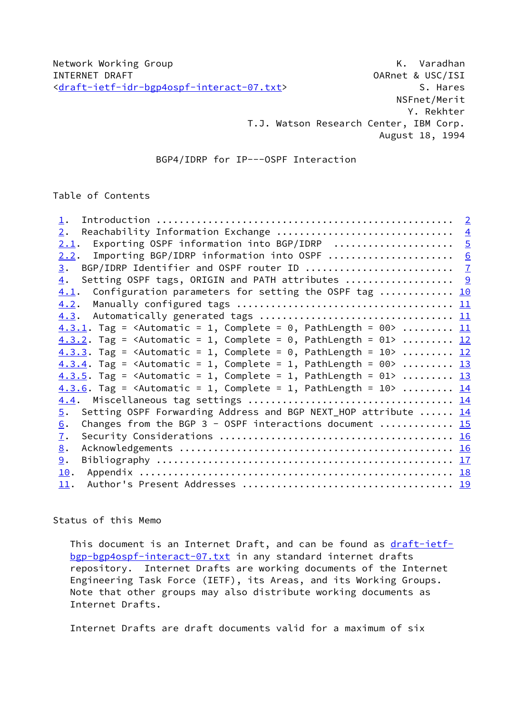NSFnet/Merit Y. Rekhter T.J. Watson Research Center, IBM Corp. August 18, 1994

## BGP4/IDRP for IP---OSPF Interaction

Table of Contents

| 1.                                                                                            |                |
|-----------------------------------------------------------------------------------------------|----------------|
| Reachability Information Exchange<br>2.                                                       | $\frac{4}{1}$  |
| Exporting OSPF information into BGP/IDRP<br>2.1.                                              | $\overline{5}$ |
| Importing BGP/IDRP information into OSPF  6<br>2.2.                                           |                |
| 3.                                                                                            |                |
| Setting OSPF tags, ORIGIN and PATH attributes  9<br>$\overline{4}$ .                          |                |
| 4.1. Configuration parameters for setting the OSPF tag  10                                    |                |
| 4.2.                                                                                          |                |
|                                                                                               |                |
| 4.3.1. Tag = <automatic 1,="" =="" complete="0," pathlength="00"> <math>11</math></automatic> |                |
| $4.3.2$ . Tag = <automatic 1,="" =="" complete="0," pathlength="01">  12</automatic>          |                |
| 4.3.3. Tag = <automatic 1,="" =="" complete="0," pathlength="&lt;math">10&gt;  12</automatic> |                |
| $4.3.4$ . Tag = <automatic 1,="" =="" complete="1," pathlength="00">  13</automatic>          |                |
| 4.3.5. Tag = <automatic 1,="" =="" complete="1," pathlength="01">  13</automatic>             |                |
| $4.3.6$ . Tag = <automatic 1,="" =="" complete="1," pathlength="10">  14</automatic>          |                |
|                                                                                               |                |
| Setting OSPF Forwarding Address and BGP NEXT_HOP attribute  14<br>$\overline{5}$ .            |                |
| Changes from the BGP 3 - OSPF interactions document $15$<br>$\underline{6}$ .                 |                |
| <u>7</u> .                                                                                    |                |
| 8.                                                                                            |                |
| 9.                                                                                            |                |
| 10.                                                                                           |                |
| 11.                                                                                           |                |

Status of this Memo

This document is an Internet Draft, and can be found as [draft-ietf](https://datatracker.ietf.org/doc/pdf/draft-ietf-bgp-bgp4ospf-interact-07.txt) [bgp-bgp4ospf-interact-07.txt](https://datatracker.ietf.org/doc/pdf/draft-ietf-bgp-bgp4ospf-interact-07.txt) in any standard internet drafts repository. Internet Drafts are working documents of the Internet Engineering Task Force (IETF), its Areas, and its Working Groups. Note that other groups may also distribute working documents as Internet Drafts.

Internet Drafts are draft documents valid for a maximum of six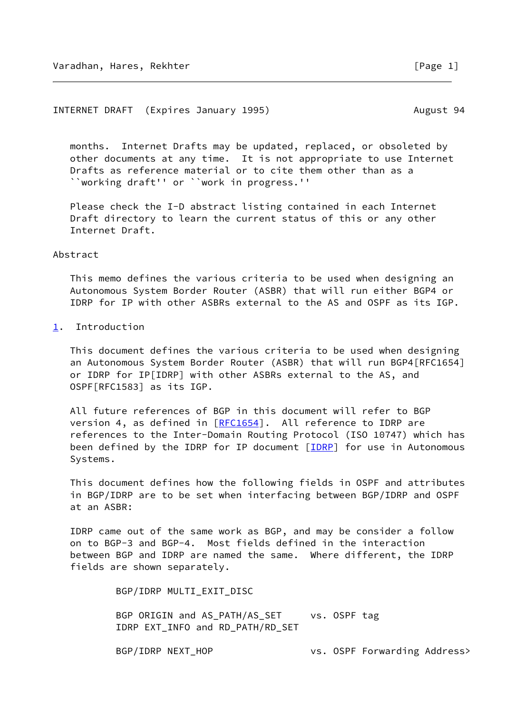### <span id="page-1-1"></span>INTERNET DRAFT (Expires January 1995) August 94

 months. Internet Drafts may be updated, replaced, or obsoleted by other documents at any time. It is not appropriate to use Internet Drafts as reference material or to cite them other than as a ``working draft'' or ``work in progress.''

 Please check the I-D abstract listing contained in each Internet Draft directory to learn the current status of this or any other Internet Draft.

### Abstract

 This memo defines the various criteria to be used when designing an Autonomous System Border Router (ASBR) that will run either BGP4 or IDRP for IP with other ASBRs external to the AS and OSPF as its IGP.

# <span id="page-1-0"></span>[1](#page-1-0). Introduction

 This document defines the various criteria to be used when designing an Autonomous System Border Router (ASBR) that will run BGP4[RFC1654] or IDRP for IP[IDRP] with other ASBRs external to the AS, and OSPF[RFC1583] as its IGP.

 All future references of BGP in this document will refer to BGP version 4, as defined in [\[RFC1654](https://datatracker.ietf.org/doc/pdf/rfc1654)]. All reference to IDRP are references to the Inter-Domain Routing Protocol (ISO 10747) which has been defined by the IDRP for IP document  $[INRP]$  for use in Autonomous Systems.

 This document defines how the following fields in OSPF and attributes in BGP/IDRP are to be set when interfacing between BGP/IDRP and OSPF at an ASBR:

 IDRP came out of the same work as BGP, and may be consider a follow on to BGP-3 and BGP-4. Most fields defined in the interaction between BGP and IDRP are named the same. Where different, the IDRP fields are shown separately.

BGP/IDRP MULTI\_EXIT\_DISC

BGP ORIGIN and AS\_PATH/AS\_SET vs. OSPF tag IDRP EXT\_INFO and RD\_PATH/RD\_SET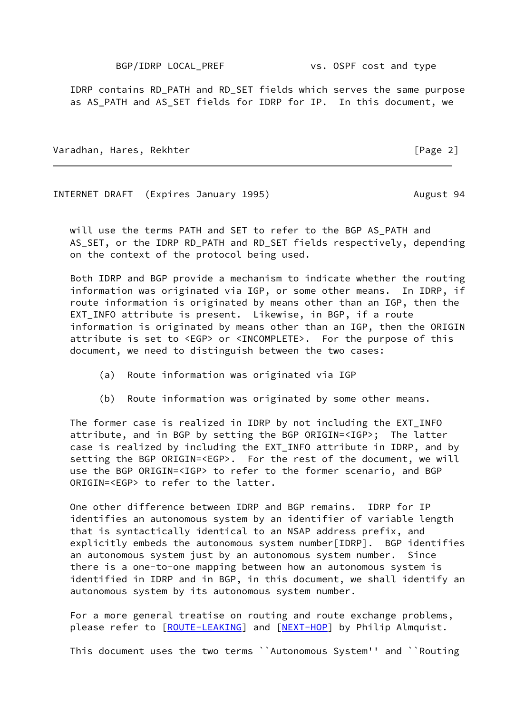BGP/IDRP LOCAL\_PREF vs. OSPF cost and type

 IDRP contains RD\_PATH and RD\_SET fields which serves the same purpose as AS\_PATH and AS\_SET fields for IDRP for IP. In this document, we

Varadhan, Hares, Rekhter [Page 2]

INTERNET DRAFT (Expires January 1995) August 94

 will use the terms PATH and SET to refer to the BGP AS\_PATH and AS SET, or the IDRP RD PATH and RD SET fields respectively, depending on the context of the protocol being used.

 Both IDRP and BGP provide a mechanism to indicate whether the routing information was originated via IGP, or some other means. In IDRP, if route information is originated by means other than an IGP, then the EXT INFO attribute is present. Likewise, in BGP, if a route information is originated by means other than an IGP, then the ORIGIN attribute is set to <EGP> or <INCOMPLETE>. For the purpose of this document, we need to distinguish between the two cases:

- (a) Route information was originated via IGP
- (b) Route information was originated by some other means.

 The former case is realized in IDRP by not including the EXT\_INFO attribute, and in BGP by setting the BGP ORIGIN=<IGP>; The latter case is realized by including the EXT\_INFO attribute in IDRP, and by setting the BGP ORIGIN=<EGP>. For the rest of the document, we will use the BGP ORIGIN=<IGP> to refer to the former scenario, and BGP ORIGIN=<EGP> to refer to the latter.

 One other difference between IDRP and BGP remains. IDRP for IP identifies an autonomous system by an identifier of variable length that is syntactically identical to an NSAP address prefix, and explicitly embeds the autonomous system number[IDRP]. BGP identifies an autonomous system just by an autonomous system number. Since there is a one-to-one mapping between how an autonomous system is identified in IDRP and in BGP, in this document, we shall identify an autonomous system by its autonomous system number.

 For a more general treatise on routing and route exchange problems, please refer to [\[ROUTE-LEAKING](#page-19-3)] and [\[NEXT-HOP](#page-19-4)] by Philip Almquist.

This document uses the two terms ``Autonomous System'' and ``Routing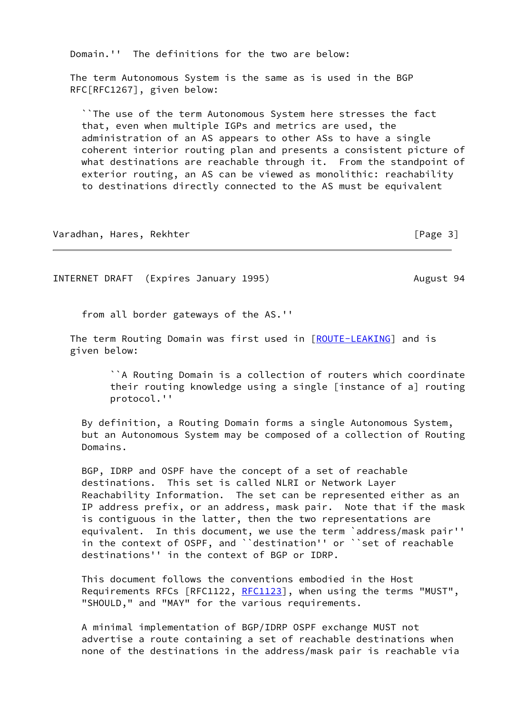Domain.'' The definitions for the two are below:

 The term Autonomous System is the same as is used in the BGP RFC[RFC1267], given below:

 ``The use of the term Autonomous System here stresses the fact that, even when multiple IGPs and metrics are used, the administration of an AS appears to other ASs to have a single coherent interior routing plan and presents a consistent picture of what destinations are reachable through it. From the standpoint of exterior routing, an AS can be viewed as monolithic: reachability to destinations directly connected to the AS must be equivalent

Varadhan, Hares, Rekhter **in the set of the set of the set of the set of the set of the set of the set of the s** 

<span id="page-3-0"></span>INTERNET DRAFT (Expires January 1995) August 94

from all border gateways of the AS.''

The term Routing Domain was first used in [[ROUTE-LEAKING\]](#page-19-3) and is given below:

> ``A Routing Domain is a collection of routers which coordinate their routing knowledge using a single [instance of a] routing protocol.''

 By definition, a Routing Domain forms a single Autonomous System, but an Autonomous System may be composed of a collection of Routing Domains.

 BGP, IDRP and OSPF have the concept of a set of reachable destinations. This set is called NLRI or Network Layer Reachability Information. The set can be represented either as an IP address prefix, or an address, mask pair. Note that if the mask is contiguous in the latter, then the two representations are equivalent. In this document, we use the term `address/mask pair'' in the context of OSPF, and ``destination'' or ``set of reachable destinations'' in the context of BGP or IDRP.

 This document follows the conventions embodied in the Host Requirements RFCs [RFC1122, [RFC1123](https://datatracker.ietf.org/doc/pdf/rfc1123)], when using the terms "MUST", "SHOULD," and "MAY" for the various requirements.

 A minimal implementation of BGP/IDRP OSPF exchange MUST not advertise a route containing a set of reachable destinations when none of the destinations in the address/mask pair is reachable via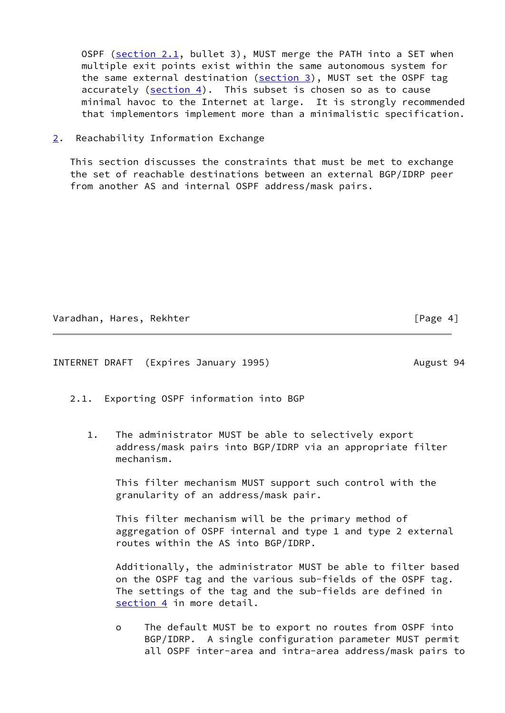OSPF (section 2.1, bullet 3), MUST merge the PATH into a SET when multiple exit points exist within the same autonomous system for the same external destination [\(section 3](#page-7-0)), MUST set the OSPF tag accurately  $(\text{section 4})$ . This subset is chosen so as to cause minimal havoc to the Internet at large. It is strongly recommended that implementors implement more than a minimalistic specification.

<span id="page-4-0"></span>[2](#page-4-0). Reachability Information Exchange

 This section discusses the constraints that must be met to exchange the set of reachable destinations between an external BGP/IDRP peer from another AS and internal OSPF address/mask pairs.

Varadhan, Hares, Rekhter [Page 4]

<span id="page-4-1"></span>INTERNET DRAFT (Expires January 1995) August 94

- 2.1. Exporting OSPF information into BGP
	- 1. The administrator MUST be able to selectively export address/mask pairs into BGP/IDRP via an appropriate filter mechanism.

 This filter mechanism MUST support such control with the granularity of an address/mask pair.

 This filter mechanism will be the primary method of aggregation of OSPF internal and type 1 and type 2 external routes within the AS into BGP/IDRP.

 Additionally, the administrator MUST be able to filter based on the OSPF tag and the various sub-fields of the OSPF tag. The settings of the tag and the sub-fields are defined in [section 4](#page-9-0) in more detail.

 o The default MUST be to export no routes from OSPF into BGP/IDRP. A single configuration parameter MUST permit all OSPF inter-area and intra-area address/mask pairs to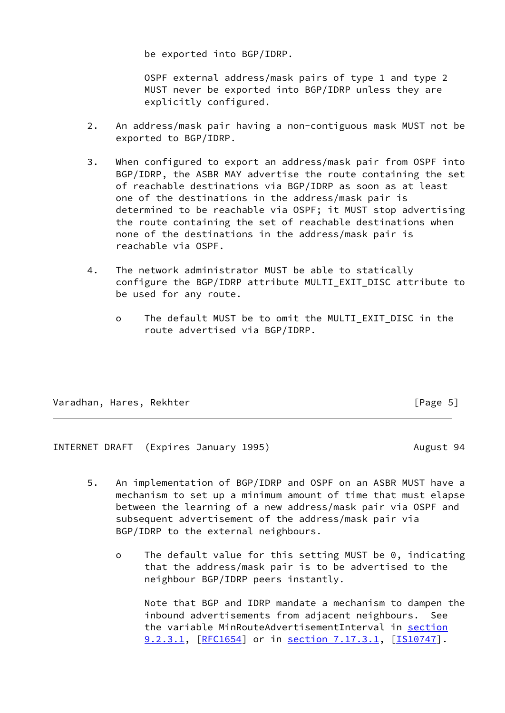be exported into BGP/IDRP.

 OSPF external address/mask pairs of type 1 and type 2 MUST never be exported into BGP/IDRP unless they are explicitly configured.

- 2. An address/mask pair having a non-contiguous mask MUST not be exported to BGP/IDRP.
- 3. When configured to export an address/mask pair from OSPF into BGP/IDRP, the ASBR MAY advertise the route containing the set of reachable destinations via BGP/IDRP as soon as at least one of the destinations in the address/mask pair is determined to be reachable via OSPF; it MUST stop advertising the route containing the set of reachable destinations when none of the destinations in the address/mask pair is reachable via OSPF.
- 4. The network administrator MUST be able to statically configure the BGP/IDRP attribute MULTI\_EXIT\_DISC attribute to be used for any route.
	- o The default MUST be to omit the MULTI\_EXIT\_DISC in the route advertised via BGP/IDRP.

Varadhan, Hares, Rekhter [Page 5]

<span id="page-5-0"></span>INTERNET DRAFT (Expires January 1995) August 94

- 5. An implementation of BGP/IDRP and OSPF on an ASBR MUST have a mechanism to set up a minimum amount of time that must elapse between the learning of a new address/mask pair via OSPF and subsequent advertisement of the address/mask pair via BGP/IDRP to the external neighbours.
	- o The default value for this setting MUST be 0, indicating that the address/mask pair is to be advertised to the neighbour BGP/IDRP peers instantly.

 Note that BGP and IDRP mandate a mechanism to dampen the inbound advertisements from adjacent neighbours. See the variable MinRouteAdvertisementInterval in section 9.2.3.1, [[RFC1654](https://datatracker.ietf.org/doc/pdf/rfc1654)] or in section 7.17.3.1, [\[IS10747](#page-19-5)].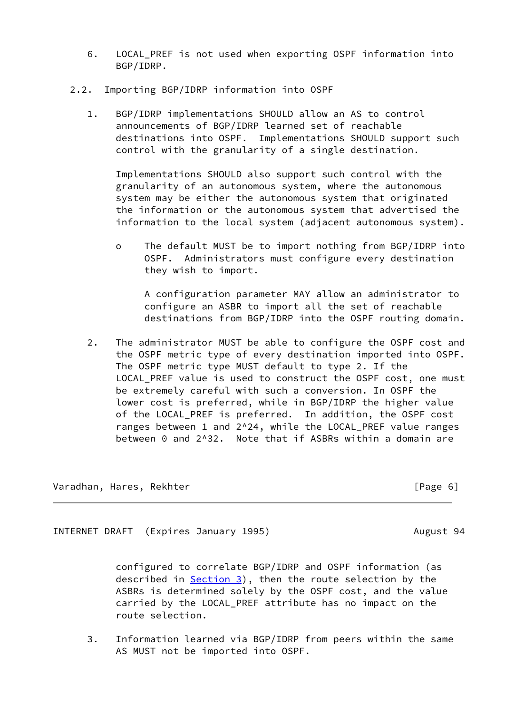- 6. LOCAL\_PREF is not used when exporting OSPF information into BGP/IDRP.
- 2.2. Importing BGP/IDRP information into OSPF
	- 1. BGP/IDRP implementations SHOULD allow an AS to control announcements of BGP/IDRP learned set of reachable destinations into OSPF. Implementations SHOULD support such control with the granularity of a single destination.

 Implementations SHOULD also support such control with the granularity of an autonomous system, where the autonomous system may be either the autonomous system that originated the information or the autonomous system that advertised the information to the local system (adjacent autonomous system).

 o The default MUST be to import nothing from BGP/IDRP into OSPF. Administrators must configure every destination they wish to import.

 A configuration parameter MAY allow an administrator to configure an ASBR to import all the set of reachable destinations from BGP/IDRP into the OSPF routing domain.

 2. The administrator MUST be able to configure the OSPF cost and the OSPF metric type of every destination imported into OSPF. The OSPF metric type MUST default to type 2. If the LOCAL\_PREF value is used to construct the OSPF cost, one must be extremely careful with such a conversion. In OSPF the lower cost is preferred, while in BGP/IDRP the higher value of the LOCAL\_PREF is preferred. In addition, the OSPF cost ranges between 1 and 2^24, while the LOCAL PREF value ranges between 0 and 2^32. Note that if ASBRs within a domain are

Varadhan, Hares, Rekhter [Page 6]

<span id="page-6-0"></span>INTERNET DRAFT (Expires January 1995) August 94

 configured to correlate BGP/IDRP and OSPF information (as described in [Section 3](#page-7-0)), then the route selection by the ASBRs is determined solely by the OSPF cost, and the value carried by the LOCAL\_PREF attribute has no impact on the route selection.

 3. Information learned via BGP/IDRP from peers within the same AS MUST not be imported into OSPF.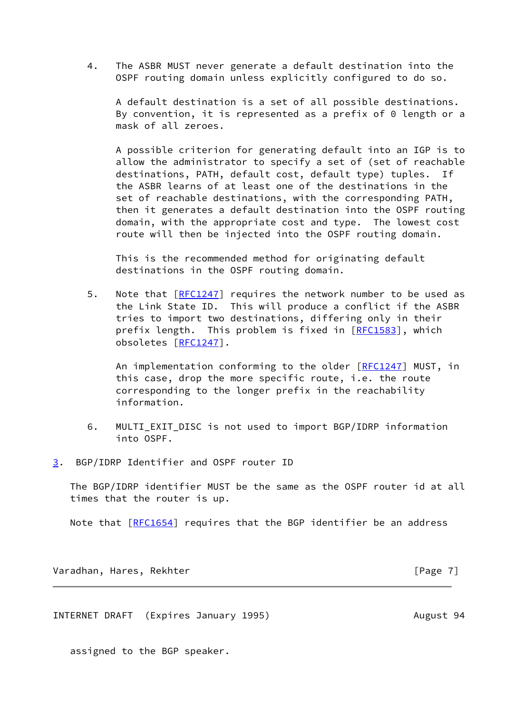4. The ASBR MUST never generate a default destination into the OSPF routing domain unless explicitly configured to do so.

 A default destination is a set of all possible destinations. By convention, it is represented as a prefix of 0 length or a mask of all zeroes.

 A possible criterion for generating default into an IGP is to allow the administrator to specify a set of (set of reachable destinations, PATH, default cost, default type) tuples. If the ASBR learns of at least one of the destinations in the set of reachable destinations, with the corresponding PATH, then it generates a default destination into the OSPF routing domain, with the appropriate cost and type. The lowest cost route will then be injected into the OSPF routing domain.

 This is the recommended method for originating default destinations in the OSPF routing domain.

5. Note that  $[REC1247]$  requires the network number to be used as the Link State ID. This will produce a conflict if the ASBR tries to import two destinations, differing only in their prefix length. This problem is fixed in [\[RFC1583](https://datatracker.ietf.org/doc/pdf/rfc1583)], which obsoletes [[RFC1247](https://datatracker.ietf.org/doc/pdf/rfc1247)].

An implementation conforming to the older [[RFC1247](https://datatracker.ietf.org/doc/pdf/rfc1247)] MUST, in this case, drop the more specific route, i.e. the route corresponding to the longer prefix in the reachability information.

- 6. MULTI\_EXIT\_DISC is not used to import BGP/IDRP information into OSPF.
- <span id="page-7-0"></span>[3](#page-7-0). BGP/IDRP Identifier and OSPF router ID

 The BGP/IDRP identifier MUST be the same as the OSPF router id at all times that the router is up.

Note that [[RFC1654](https://datatracker.ietf.org/doc/pdf/rfc1654)] requires that the BGP identifier be an address

Varadhan, Hares, Rekhter [Page 7]

INTERNET DRAFT (Expires January 1995) August 94

assigned to the BGP speaker.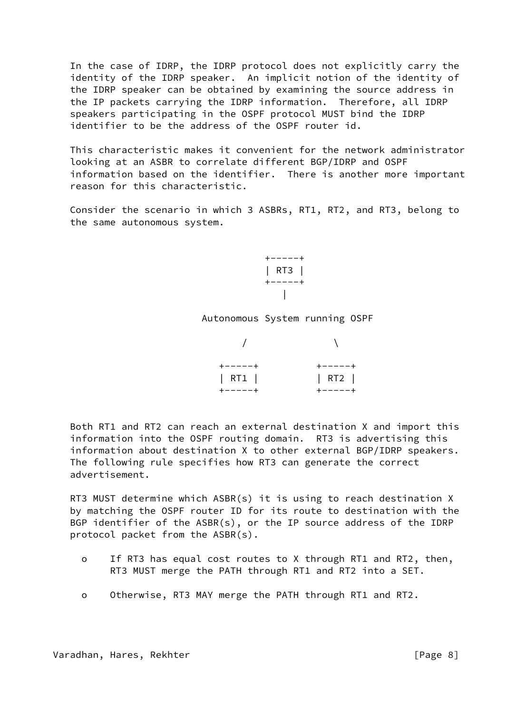In the case of IDRP, the IDRP protocol does not explicitly carry the identity of the IDRP speaker. An implicit notion of the identity of the IDRP speaker can be obtained by examining the source address in the IP packets carrying the IDRP information. Therefore, all IDRP speakers participating in the OSPF protocol MUST bind the IDRP identifier to be the address of the OSPF router id.

 This characteristic makes it convenient for the network administrator looking at an ASBR to correlate different BGP/IDRP and OSPF information based on the identifier. There is another more important reason for this characteristic.

 Consider the scenario in which 3 ASBRs, RT1, RT2, and RT3, belong to the same autonomous system.

 $+ - - - - +$  | RT3 | +-----+ |

Autonomous System running OSPF

| $+ - - - - +$ | $+ - - - - +$ |
|---------------|---------------|
| RT1           | RT2           |
| +-----+       | $+ - - - - +$ |

 Both RT1 and RT2 can reach an external destination X and import this information into the OSPF routing domain. RT3 is advertising this information about destination X to other external BGP/IDRP speakers. The following rule specifies how RT3 can generate the correct advertisement.

 RT3 MUST determine which ASBR(s) it is using to reach destination X by matching the OSPF router ID for its route to destination with the BGP identifier of the ASBR(s), or the IP source address of the IDRP protocol packet from the ASBR(s).

- o If RT3 has equal cost routes to X through RT1 and RT2, then, RT3 MUST merge the PATH through RT1 and RT2 into a SET.
- o Otherwise, RT3 MAY merge the PATH through RT1 and RT2.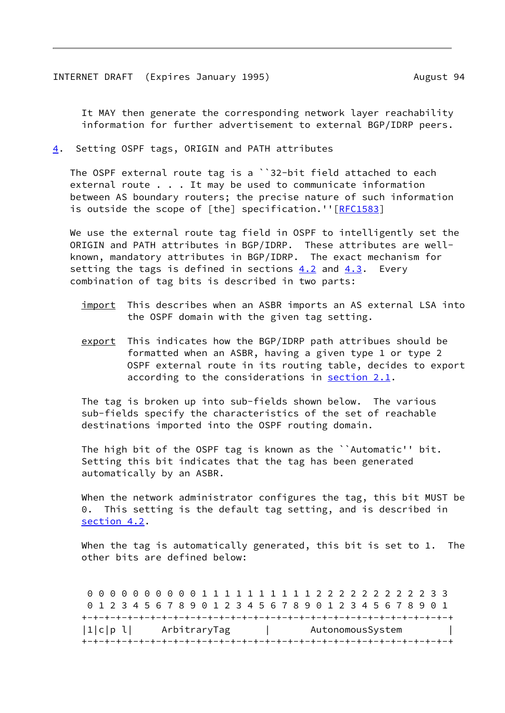<span id="page-9-1"></span> It MAY then generate the corresponding network layer reachability information for further advertisement to external BGP/IDRP peers.

<span id="page-9-0"></span>[4](#page-9-0). Setting OSPF tags, ORIGIN and PATH attributes

 The OSPF external route tag is a ``32-bit field attached to each external route . . . It may be used to communicate information between AS boundary routers; the precise nature of such information is outside the scope of [the] specification.''[[RFC1583](https://datatracker.ietf.org/doc/pdf/rfc1583)]

 We use the external route tag field in OSPF to intelligently set the ORIGIN and PATH attributes in BGP/IDRP. These attributes are well known, mandatory attributes in BGP/IDRP. The exact mechanism for setting the tags is defined in sections  $4.2$  and  $4.3$ . Every combination of tag bits is described in two parts:

- import This describes when an ASBR imports an AS external LSA into the OSPF domain with the given tag setting.
- export This indicates how the BGP/IDRP path attribues should be formatted when an ASBR, having a given type 1 or type 2 OSPF external route in its routing table, decides to export according to the considerations in section 2.1.

 The tag is broken up into sub-fields shown below. The various sub-fields specify the characteristics of the set of reachable destinations imported into the OSPF routing domain.

The high bit of the OSPF tag is known as the ``Automatic'' bit. Setting this bit indicates that the tag has been generated automatically by an ASBR.

 When the network administrator configures the tag, this bit MUST be 0. This setting is the default tag setting, and is described in section 4.2.

When the tag is automatically generated, this bit is set to 1. The other bits are defined below:

 0 0 0 0 0 0 0 0 0 0 1 1 1 1 1 1 1 1 1 1 2 2 2 2 2 2 2 2 2 2 3 3 0 1 2 3 4 5 6 7 8 9 0 1 2 3 4 5 6 7 8 9 0 1 2 3 4 5 6 7 8 9 0 1 +-+-+-+-+-+-+-+-+-+-+-+-+-+-+-+-+-+-+-+-+-+-+-+-+-+-+-+-+-+-+-+-+ |1|c|p l| ArbitraryTag | AutonomousSystem +-+-+-+-+-+-+-+-+-+-+-+-+-+-+-+-+-+-+-+-+-+-+-+-+-+-+-+-+-+-+-+-+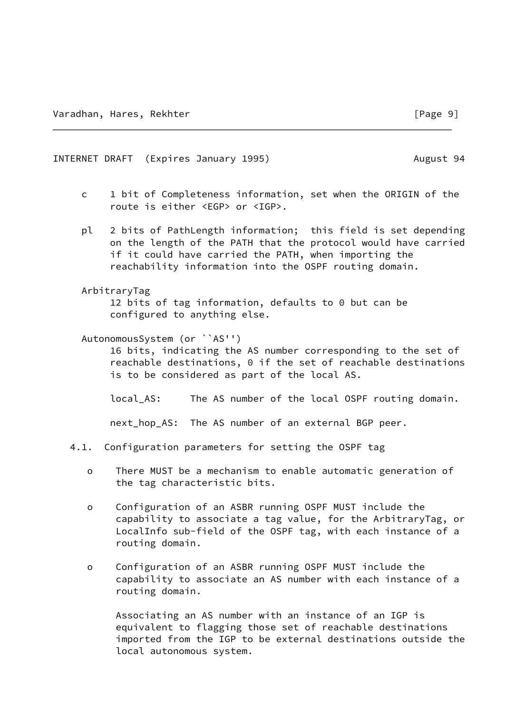#### <span id="page-10-0"></span>INTERNET DRAFT (Expires January 1995) August 94

- c 1 bit of Completeness information, set when the ORIGIN of the route is either <EGP> or <IGP>.
- pl 2 bits of PathLength information; this field is set depending on the length of the PATH that the protocol would have carried if it could have carried the PATH, when importing the reachability information into the OSPF routing domain.
- ArbitraryTag

 12 bits of tag information, defaults to 0 but can be configured to anything else.

AutonomousSystem (or ``AS'')

 16 bits, indicating the AS number corresponding to the set of reachable destinations, 0 if the set of reachable destinations is to be considered as part of the local AS.

local\_AS: The AS number of the local OSPF routing domain.

next\_hop\_AS: The AS number of an external BGP peer.

- 4.1. Configuration parameters for setting the OSPF tag
	- o There MUST be a mechanism to enable automatic generation of the tag characteristic bits.
	- o Configuration of an ASBR running OSPF MUST include the capability to associate a tag value, for the ArbitraryTag, or LocalInfo sub-field of the OSPF tag, with each instance of a routing domain.
	- o Configuration of an ASBR running OSPF MUST include the capability to associate an AS number with each instance of a routing domain.

 Associating an AS number with an instance of an IGP is equivalent to flagging those set of reachable destinations imported from the IGP to be external destinations outside the local autonomous system.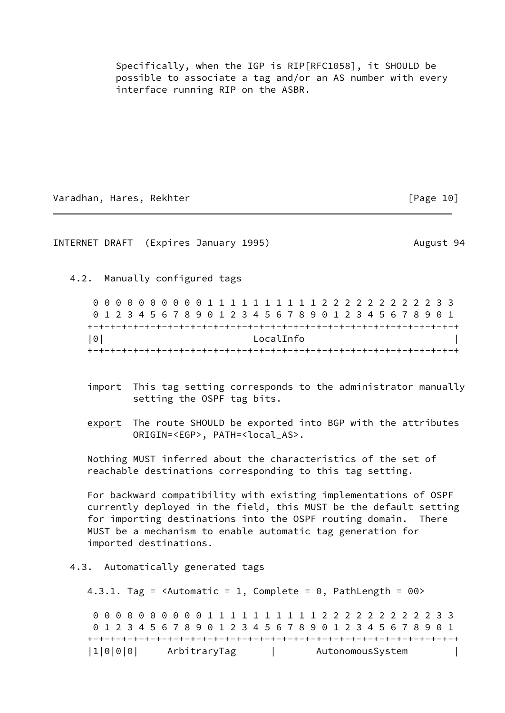Specifically, when the IGP is RIP[RFC1058], it SHOULD be possible to associate a tag and/or an AS number with every interface running RIP on the ASBR.

Varadhan, Hares, Rekhter [Page 10]

<span id="page-11-0"></span>INTERNET DRAFT (Expires January 1995) August 94

4.2. Manually configured tags

 0 0 0 0 0 0 0 0 0 0 1 1 1 1 1 1 1 1 1 1 2 2 2 2 2 2 2 2 2 2 3 3 0 1 2 3 4 5 6 7 8 9 0 1 2 3 4 5 6 7 8 9 0 1 2 3 4 5 6 7 8 9 0 1 +-+-+-+-+-+-+-+-+-+-+-+-+-+-+-+-+-+-+-+-+-+-+-+-+-+-+-+-+-+-+-+-+ |0| LocalInfo | +-+-+-+-+-+-+-+-+-+-+-+-+-+-+-+-+-+-+-+-+-+-+-+-+-+-+-+-+-+-+-+-+

- import This tag setting corresponds to the administrator manually setting the OSPF tag bits.
- export The route SHOULD be exported into BGP with the attributes ORIGIN=<EGP>, PATH=<local\_AS>.

 Nothing MUST inferred about the characteristics of the set of reachable destinations corresponding to this tag setting.

 For backward compatibility with existing implementations of OSPF currently deployed in the field, this MUST be the default setting for importing destinations into the OSPF routing domain. There MUST be a mechanism to enable automatic tag generation for imported destinations.

4.3. Automatically generated tags

4.3.1. Tag =  $\langle$ Automatic = 1, Complete = 0, PathLength = 00>

 0 0 0 0 0 0 0 0 0 0 1 1 1 1 1 1 1 1 1 1 2 2 2 2 2 2 2 2 2 2 3 3 0 1 2 3 4 5 6 7 8 9 0 1 2 3 4 5 6 7 8 9 0 1 2 3 4 5 6 7 8 9 0 1 +-+-+-+-+-+-+-+-+-+-+-+-+-+-+-+-+-+-+-+-+-+-+-+-+-+-+-+-+-+-+-+-+ |1|0|0|0| ArbitraryTag | AutonomousSystem |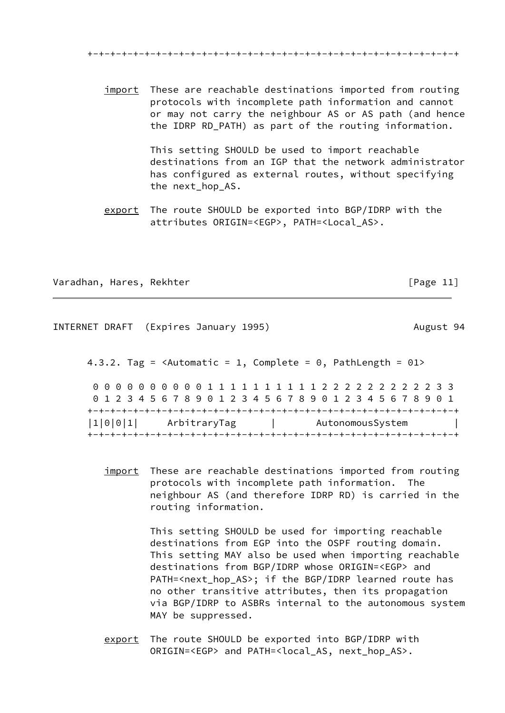+-+-+-+-+-+-+-+-+-+-+-+-+-+-+-+-+-+-+-+-+-+-+-+-+-+-+-+-+-+-+-+-+

 import These are reachable destinations imported from routing protocols with incomplete path information and cannot or may not carry the neighbour AS or AS path (and hence the IDRP RD\_PATH) as part of the routing information.

> This setting SHOULD be used to import reachable destinations from an IGP that the network administrator has configured as external routes, without specifying the next\_hop\_AS.

 export The route SHOULD be exported into BGP/IDRP with the attributes ORIGIN=<EGP>, PATH=<Local\_AS>.

Varadhan, Hares, Rekhter **and Europe and Transformation** and Trage 11]

<span id="page-12-0"></span>INTERNET DRAFT (Expires January 1995) August 94 4.3.2. Tag =  $\langle$ Automatic = 1, Complete = 0, PathLength = 01> 0 0 0 0 0 0 0 0 0 0 1 1 1 1 1 1 1 1 1 1 2 2 2 2 2 2 2 2 2 2 3 3 0 1 2 3 4 5 6 7 8 9 0 1 2 3 4 5 6 7 8 9 0 1 2 3 4 5 6 7 8 9 0 1 +-+-+-+-+-+-+-+-+-+-+-+-+-+-+-+-+-+-+-+-+-+-+-+-+-+-+-+-+-+-+-+-+ |1|0|0|1| ArbitraryTag | AutonomousSystem | +-+-+-+-+-+-+-+-+-+-+-+-+-+-+-+-+-+-+-+-+-+-+-+-+-+-+-+-+-+-+-+-+

> import These are reachable destinations imported from routing protocols with incomplete path information. The neighbour AS (and therefore IDRP RD) is carried in the routing information.

> > This setting SHOULD be used for importing reachable destinations from EGP into the OSPF routing domain. This setting MAY also be used when importing reachable destinations from BGP/IDRP whose ORIGIN=<EGP> and PATH=<next\_hop\_AS>; if the BGP/IDRP learned route has no other transitive attributes, then its propagation via BGP/IDRP to ASBRs internal to the autonomous system MAY be suppressed.

 export The route SHOULD be exported into BGP/IDRP with ORIGIN=<EGP> and PATH=<local\_AS, next\_hop\_AS>.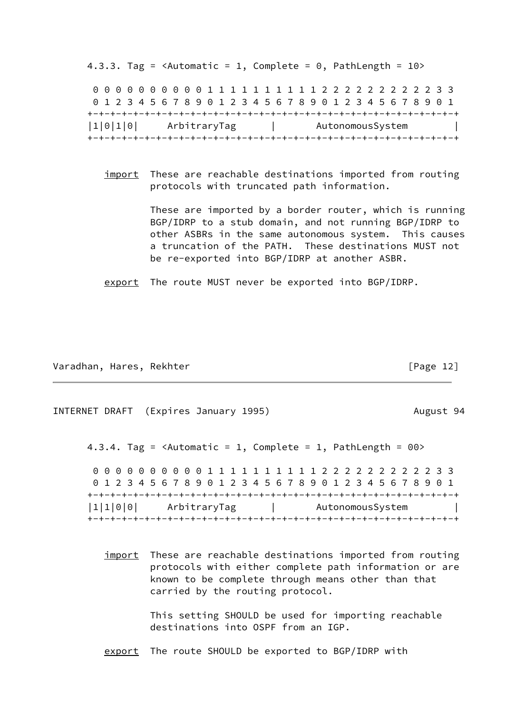4.3.3. Tag =  $\triangle$ Automatic = 1, Complete = 0, PathLength = 10> 0 0 0 0 0 0 0 0 0 0 1 1 1 1 1 1 1 1 1 1 2 2 2 2 2 2 2 2 2 2 3 3 0 1 2 3 4 5 6 7 8 9 0 1 2 3 4 5 6 7 8 9 0 1 2 3 4 5 6 7 8 9 0 1 +-+-+-+-+-+-+-+-+-+-+-+-+-+-+-+-+-+-+-+-+-+-+-+-+-+-+-+-+-+-+-+-+ |1|0|1|0| ArbitraryTag | AutonomousSystem | +-+-+-+-+-+-+-+-+-+-+-+-+-+-+-+-+-+-+-+-+-+-+-+-+-+-+-+-+-+-+-+-+

import These are reachable destinations imported from routing protocols with truncated path information.

> These are imported by a border router, which is running BGP/IDRP to a stub domain, and not running BGP/IDRP to other ASBRs in the same autonomous system. This causes a truncation of the PATH. These destinations MUST not be re-exported into BGP/IDRP at another ASBR.

export The route MUST never be exported into BGP/IDRP.

Varadhan, Hares, Rekhter [Page 12]

<span id="page-13-0"></span>INTERNET DRAFT (Expires January 1995) August 94 4.3.4. Tag =  $\langle$ Automatic = 1, Complete = 1, PathLength =  $00$ > 0 0 0 0 0 0 0 0 0 0 1 1 1 1 1 1 1 1 1 1 2 2 2 2 2 2 2 2 2 2 3 3 0 1 2 3 4 5 6 7 8 9 0 1 2 3 4 5 6 7 8 9 0 1 2 3 4 5 6 7 8 9 0 1 +-+-+-+-+-+-+-+-+-+-+-+-+-+-+-+-+-+-+-+-+-+-+-+-+-+-+-+-+-+-+-+-+ |1|1|0|0| ArbitraryTag | AutonomousSystem | +-+-+-+-+-+-+-+-+-+-+-+-+-+-+-+-+-+-+-+-+-+-+-+-+-+-+-+-+-+-+-+-+

> import These are reachable destinations imported from routing protocols with either complete path information or are known to be complete through means other than that carried by the routing protocol.

> > This setting SHOULD be used for importing reachable destinations into OSPF from an IGP.

export The route SHOULD be exported to BGP/IDRP with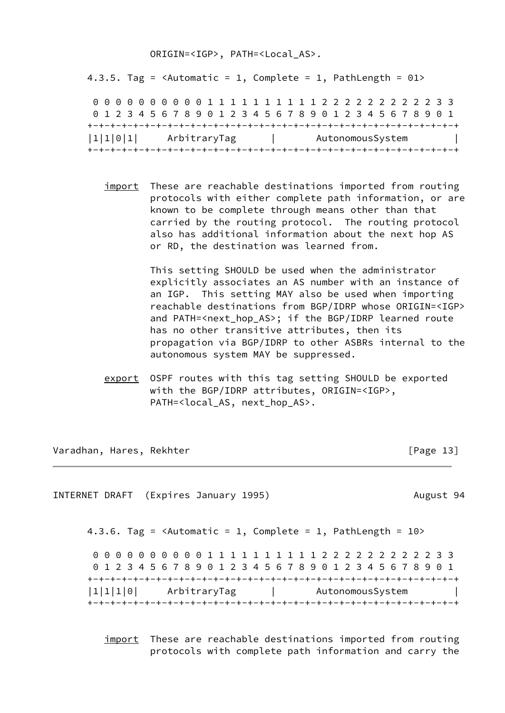## ORIGIN=<IGP>, PATH=<Local\_AS>.

4.3.5. Tag =  $\langle$ Automatic = 1, Complete = 1, PathLength = 01> 0 0 0 0 0 0 0 0 0 0 1 1 1 1 1 1 1 1 1 1 2 2 2 2 2 2 2 2 2 2 3 3 0 1 2 3 4 5 6 7 8 9 0 1 2 3 4 5 6 7 8 9 0 1 2 3 4 5 6 7 8 9 0 1 +-+-+-+-+-+-+-+-+-+-+-+-+-+-+-+-+-+-+-+-+-+-+-+-+-+-+-+-+-+-+-+-+ |1|1|0|1| ArbitraryTag | AutonomousSystem | +-+-+-+-+-+-+-+-+-+-+-+-+-+-+-+-+-+-+-+-+-+-+-+-+-+-+-+-+-+-+-+-+

import These are reachable destinations imported from routing protocols with either complete path information, or are known to be complete through means other than that carried by the routing protocol. The routing protocol also has additional information about the next hop AS or RD, the destination was learned from.

> This setting SHOULD be used when the administrator explicitly associates an AS number with an instance of an IGP. This setting MAY also be used when importing reachable destinations from BGP/IDRP whose ORIGIN=<IGP> and PATH=<next\_hop\_AS>; if the BGP/IDRP learned route has no other transitive attributes, then its propagation via BGP/IDRP to other ASBRs internal to the autonomous system MAY be suppressed.

 export OSPF routes with this tag setting SHOULD be exported with the BGP/IDRP attributes, ORIGIN=<IGP>, PATH=<local\_AS, next\_hop\_AS>.

Varadhan, Hares, Rekhter **and Europe and Transformation** and Trage 13

<span id="page-14-0"></span>INTERNET DRAFT (Expires January 1995) August 94 4.3.6. Tag =  $\triangle$ Automatic = 1, Complete = 1, PathLength =  $10$ > 0 0 0 0 0 0 0 0 0 0 1 1 1 1 1 1 1 1 1 1 2 2 2 2 2 2 2 2 2 2 3 3 0 1 2 3 4 5 6 7 8 9 0 1 2 3 4 5 6 7 8 9 0 1 2 3 4 5 6 7 8 9 0 1 +-+-+-+-+-+-+-+-+-+-+-+-+-+-+-+-+-+-+-+-+-+-+-+-+-+-+-+-+-+-+-+-+ |1|1|1|0| ArbitraryTag | AutonomousSystem | +-+-+-+-+-+-+-+-+-+-+-+-+-+-+-+-+-+-+-+-+-+-+-+-+-+-+-+-+-+-+-+-+

> import These are reachable destinations imported from routing protocols with complete path information and carry the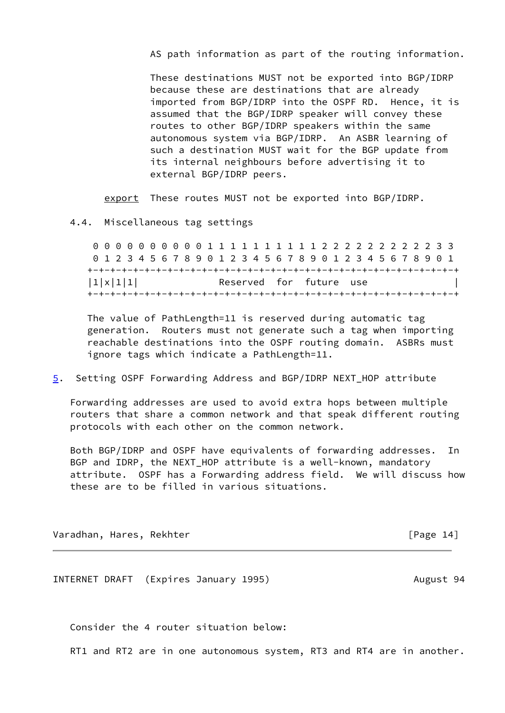AS path information as part of the routing information.

 These destinations MUST not be exported into BGP/IDRP because these are destinations that are already imported from BGP/IDRP into the OSPF RD. Hence, it is assumed that the BGP/IDRP speaker will convey these routes to other BGP/IDRP speakers within the same autonomous system via BGP/IDRP. An ASBR learning of such a destination MUST wait for the BGP update from its internal neighbours before advertising it to external BGP/IDRP peers.

export These routes MUST not be exported into BGP/IDRP.

4.4. Miscellaneous tag settings

 0 0 0 0 0 0 0 0 0 0 1 1 1 1 1 1 1 1 1 1 2 2 2 2 2 2 2 2 2 2 3 3 0 1 2 3 4 5 6 7 8 9 0 1 2 3 4 5 6 7 8 9 0 1 2 3 4 5 6 7 8 9 0 1 +-+-+-+-+-+-+-+-+-+-+-+-+-+-+-+-+-+-+-+-+-+-+-+-+-+-+-+-+-+-+-+-+ |1|x|1|1| Reserved for future use | +-+-+-+-+-+-+-+-+-+-+-+-+-+-+-+-+-+-+-+-+-+-+-+-+-+-+-+-+-+-+-+-+

 The value of PathLength=11 is reserved during automatic tag generation. Routers must not generate such a tag when importing reachable destinations into the OSPF routing domain. ASBRs must ignore tags which indicate a PathLength=11.

<span id="page-15-0"></span>[5](#page-15-0). Setting OSPF Forwarding Address and BGP/IDRP NEXT\_HOP attribute

 Forwarding addresses are used to avoid extra hops between multiple routers that share a common network and that speak different routing protocols with each other on the common network.

 Both BGP/IDRP and OSPF have equivalents of forwarding addresses. In BGP and IDRP, the NEXT HOP attribute is a well-known, mandatory attribute. OSPF has a Forwarding address field. We will discuss how these are to be filled in various situations.

Varadhan, Hares, Rekhter [Page 14]

<span id="page-15-1"></span>INTERNET DRAFT (Expires January 1995) August 94

Consider the 4 router situation below:

RT1 and RT2 are in one autonomous system, RT3 and RT4 are in another.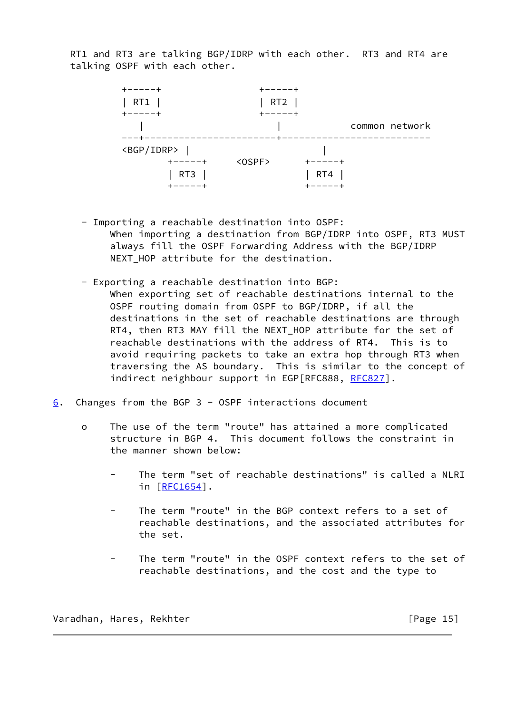RT1 and RT3 are talking BGP/IDRP with each other. RT3 and RT4 are talking OSPF with each other.



- Importing a reachable destination into OSPF: When importing a destination from BGP/IDRP into OSPF, RT3 MUST always fill the OSPF Forwarding Address with the BGP/IDRP NEXT\_HOP attribute for the destination.
- Exporting a reachable destination into BGP:
	- When exporting set of reachable destinations internal to the OSPF routing domain from OSPF to BGP/IDRP, if all the destinations in the set of reachable destinations are through RT4, then RT3 MAY fill the NEXT\_HOP attribute for the set of reachable destinations with the address of RT4. This is to avoid requiring packets to take an extra hop through RT3 when traversing the AS boundary. This is similar to the concept of indirect neighbour support in EGP[RFC888, [RFC827](https://datatracker.ietf.org/doc/pdf/rfc827)].
- <span id="page-16-0"></span>[6](#page-16-0). Changes from the BGP 3 - OSPF interactions document
	- o The use of the term "route" has attained a more complicated structure in BGP 4. This document follows the constraint in the manner shown below:
		- The term "set of reachable destinations" is called a NLRI in [\[RFC1654](https://datatracker.ietf.org/doc/pdf/rfc1654)].
		- The term "route" in the BGP context refers to a set of reachable destinations, and the associated attributes for the set.
		- The term "route" in the OSPF context refers to the set of reachable destinations, and the cost and the type to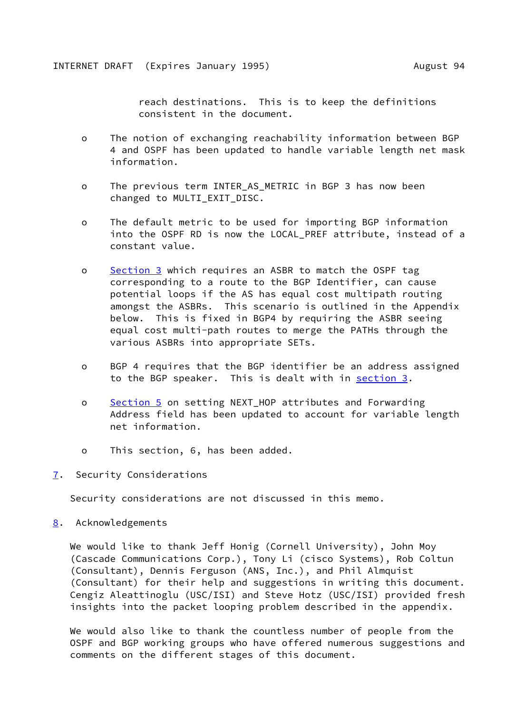reach destinations. This is to keep the definitions consistent in the document.

- <span id="page-17-1"></span> o The notion of exchanging reachability information between BGP 4 and OSPF has been updated to handle variable length net mask information.
- o The previous term INTER\_AS\_METRIC in BGP 3 has now been changed to MULTI EXIT DISC.
- o The default metric to be used for importing BGP information into the OSPF RD is now the LOCAL PREF attribute, instead of a constant value.
- o [Section 3](#page-7-0) which requires an ASBR to match the OSPF tag corresponding to a route to the BGP Identifier, can cause potential loops if the AS has equal cost multipath routing amongst the ASBRs. This scenario is outlined in the Appendix below. This is fixed in BGP4 by requiring the ASBR seeing equal cost multi-path routes to merge the PATHs through the various ASBRs into appropriate SETs.
- o BGP 4 requires that the BGP identifier be an address assigned to the BGP speaker. This is dealt with in [section 3.](#page-7-0)
- o [Section 5](#page-15-0) on setting NEXT\_HOP attributes and Forwarding Address field has been updated to account for variable length net information.
- o This section, 6, has been added.
- <span id="page-17-0"></span>[7](#page-17-0). Security Considerations

Security considerations are not discussed in this memo.

<span id="page-17-2"></span>[8](#page-17-2). Acknowledgements

 We would like to thank Jeff Honig (Cornell University), John Moy (Cascade Communications Corp.), Tony Li (cisco Systems), Rob Coltun (Consultant), Dennis Ferguson (ANS, Inc.), and Phil Almquist (Consultant) for their help and suggestions in writing this document. Cengiz Aleattinoglu (USC/ISI) and Steve Hotz (USC/ISI) provided fresh insights into the packet looping problem described in the appendix.

 We would also like to thank the countless number of people from the OSPF and BGP working groups who have offered numerous suggestions and comments on the different stages of this document.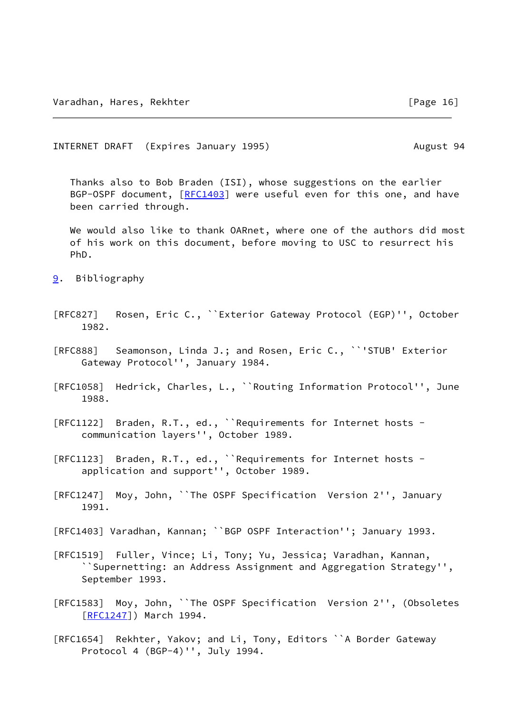<span id="page-18-1"></span>INTERNET DRAFT (Expires January 1995) August 94

 Thanks also to Bob Braden (ISI), whose suggestions on the earlier BGP-OSPF document, [[RFC1403\]](https://datatracker.ietf.org/doc/pdf/rfc1403) were useful even for this one, and have been carried through.

 We would also like to thank OARnet, where one of the authors did most of his work on this document, before moving to USC to resurrect his PhD.

- <span id="page-18-0"></span>[9](#page-18-0). Bibliography
- [RFC827] Rosen, Eric C., ``Exterior Gateway Protocol (EGP)'', October 1982.
- [RFC888] Seamonson, Linda J.; and Rosen, Eric C., ``'STUB' Exterior Gateway Protocol'', January 1984.
- [RFC1058] Hedrick, Charles, L., ``Routing Information Protocol'', June 1988.
- [RFC1122] Braden, R.T., ed., ``Requirements for Internet hosts communication layers'', October 1989.
- [RFC1123] Braden, R.T., ed., ``Requirements for Internet hosts application and support'', October 1989.
- [RFC1247] Moy, John, ``The OSPF Specification Version 2'', January 1991.
- [RFC1403] Varadhan, Kannan; ``BGP OSPF Interaction''; January 1993.
- [RFC1519] Fuller, Vince; Li, Tony; Yu, Jessica; Varadhan, Kannan, ``Supernetting: an Address Assignment and Aggregation Strategy'', September 1993.
- [RFC1583] Moy, John, ``The OSPF Specification Version 2'', (Obsoletes [[RFC1247](https://datatracker.ietf.org/doc/pdf/rfc1247)]) March 1994.
- [RFC1654] Rekhter, Yakov; and Li, Tony, Editors ``A Border Gateway Protocol 4 (BGP-4)'', July 1994.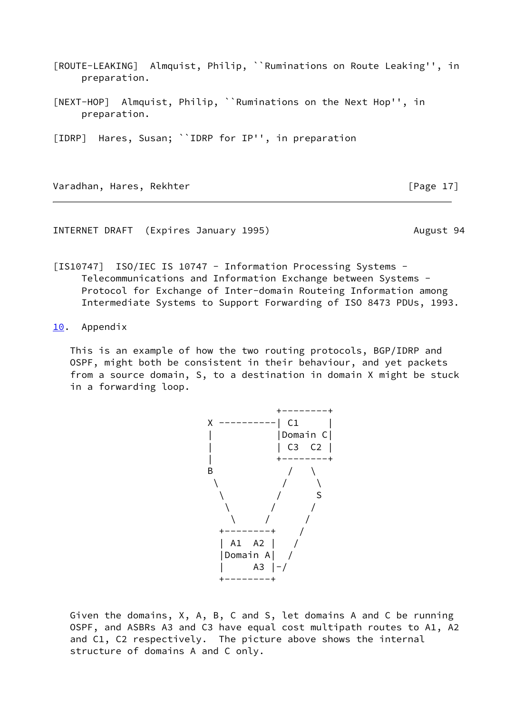- <span id="page-19-3"></span>[ROUTE-LEAKING] Almquist, Philip, ``Ruminations on Route Leaking'', in preparation.
- <span id="page-19-4"></span>[NEXT-HOP] Almquist, Philip, ``Ruminations on the Next Hop'', in preparation.

<span id="page-19-2"></span>[IDRP] Hares, Susan; ``IDRP for IP'', in preparation

Varadhan, Hares, Rekhter **and Europe 17** and Frage 17 and Frage 17 and Frage 17 and Frage 17 and Frage 17 and Fra

<span id="page-19-1"></span>INTERNET DRAFT (Expires January 1995) August 94

<span id="page-19-5"></span>[IS10747] ISO/IEC IS 10747 - Information Processing Systems - Telecommunications and Information Exchange between Systems - Protocol for Exchange of Inter-domain Routeing Information among Intermediate Systems to Support Forwarding of ISO 8473 PDUs, 1993.

<span id="page-19-0"></span>[10.](#page-19-0) Appendix

 This is an example of how the two routing protocols, BGP/IDRP and OSPF, might both be consistent in their behaviour, and yet packets from a source domain, S, to a destination in domain X might be stuck in a forwarding loop.



 Given the domains, X, A, B, C and S, let domains A and C be running OSPF, and ASBRs A3 and C3 have equal cost multipath routes to A1, A2 and C1, C2 respectively. The picture above shows the internal structure of domains A and C only.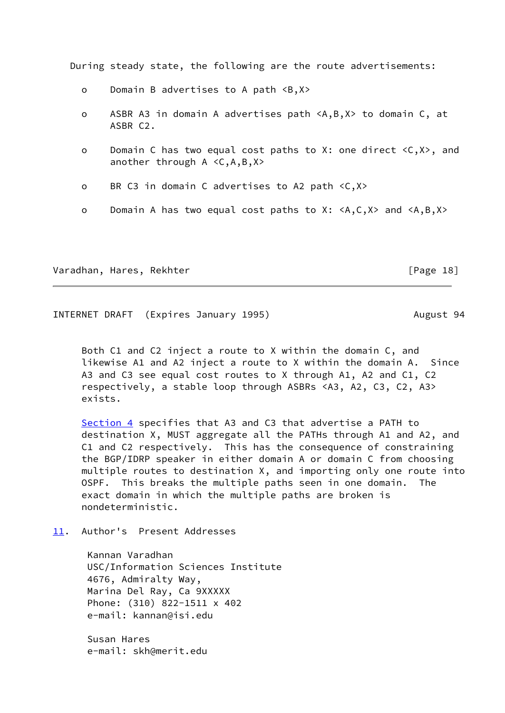During steady state, the following are the route advertisements:

- o Domain B advertises to A path <B,X>
- o ASBR A3 in domain A advertises path <A,B,X> to domain C, at ASBR C2.
- o Domain C has two equal cost paths to X: one direct <C,X>, and another through A <C,A,B,X>
- o BR C3 in domain C advertises to A2 path <C,X>
- o Domain A has two equal cost paths to X: <A,C,X> and <A,B,X>

Varadhan, Hares, Rekhter [Page 18]

<span id="page-20-1"></span>INTERNET DRAFT (Expires January 1995) August 94

 Both C1 and C2 inject a route to X within the domain C, and likewise A1 and A2 inject a route to X within the domain A. Since A3 and C3 see equal cost routes to X through A1, A2 and C1, C2 respectively, a stable loop through ASBRs <A3, A2, C3, C2, A3> exists.

[Section 4](#page-9-0) specifies that A3 and C3 that advertise a PATH to destination X, MUST aggregate all the PATHs through A1 and A2, and C1 and C2 respectively. This has the consequence of constraining the BGP/IDRP speaker in either domain A or domain C from choosing multiple routes to destination X, and importing only one route into OSPF. This breaks the multiple paths seen in one domain. The exact domain in which the multiple paths are broken is nondeterministic.

<span id="page-20-0"></span>[11.](#page-20-0) Author's Present Addresses

 Kannan Varadhan USC/Information Sciences Institute 4676, Admiralty Way, Marina Del Ray, Ca 9XXXXX Phone: (310) 822-1511 x 402 e-mail: kannan@isi.edu

 Susan Hares e-mail: skh@merit.edu